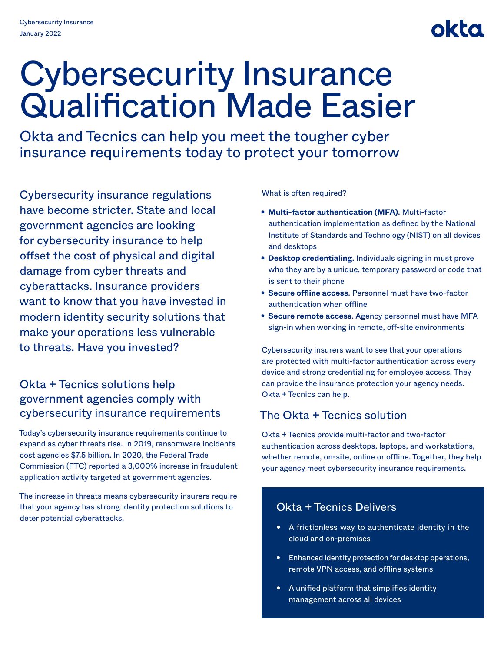# okta

# Cybersecurity Insurance Qualification Made Easier

Okta and Tecnics can help you meet the tougher cyber insurance requirements today to protect your tomorrow

Cybersecurity insurance regulations have become stricter. State and local government agencies are looking for cybersecurity insurance to help offset the cost of physical and digital damage from cyber threats and cyberattacks. Insurance providers want to know that you have invested in modern identity security solutions that make your operations less vulnerable to threats. Have you invested?

# Okta + Tecnics solutions help government agencies comply with cybersecurity insurance requirements

Today's cybersecurity insurance requirements continue to expand as cyber threats rise. In 2019, ransomware incidents cost agencies \$7.5 billion. In 2020, the Federal Trade Commission (FTC) reported a 3,000% increase in fraudulent application activity targeted at government agencies.

The increase in threats means cybersecurity insurers require that your agency has strong identity protection solutions to deter potential cyberattacks.

What is often required?

- **Multi-factor authentication (MFA)**. Multi-factor authentication implementation as defined by the National Institute of Standards and Technology (NIST) on all devices and desktops
- **Desktop credentialing**. Individuals signing in must prove who they are by a unique, temporary password or code that is sent to their phone
- **Secure offline access**. Personnel must have two-factor authentication when offline
- **Secure remote access**. Agency personnel must have MFA sign-in when working in remote, off-site environments

Cybersecurity insurers want to see that your operations are protected with multi-factor authentication across every device and strong credentialing for employee access. They can provide the insurance protection your agency needs. Okta + Tecnics can help.

# The Okta + Tecnics solution

Okta + Tecnics provide multi-factor and two-factor authentication across desktops, laptops, and workstations, whether remote, on-site, online or offline. Together, they help your agency meet cybersecurity insurance requirements.

### Okta + Tecnics Delivers

- A frictionless way to authenticate identity in the cloud and on-premises
- Enhanced identity protection for desktop operations, remote VPN access, and offline systems
- A unified platform that simplifies identity management across all devices